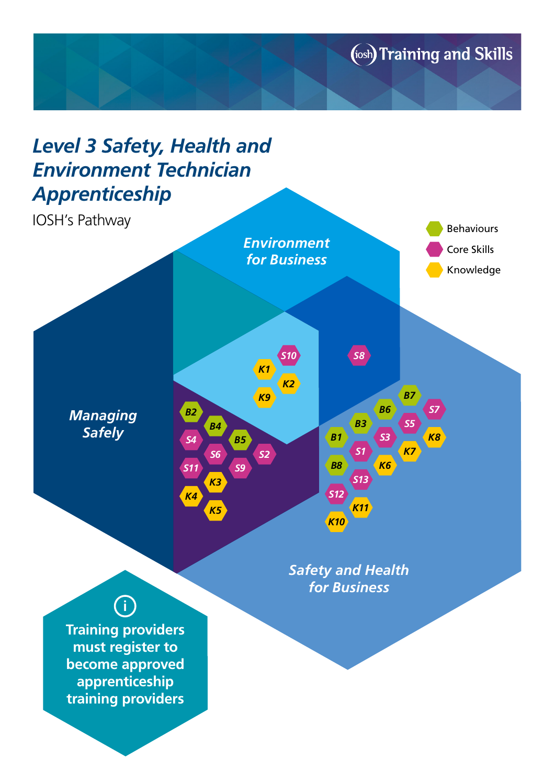(iosh) Training and Skills

## *Level 3 Safety, Health and Environment Technician Apprenticeship*

IOSH's Pathway



*[Safety and Health](https://www.iosh.co.uk/Training/IOSH-Qualification.aspx) for Business*

## **i**

**Training providers must register to become approved apprenticeship training providers**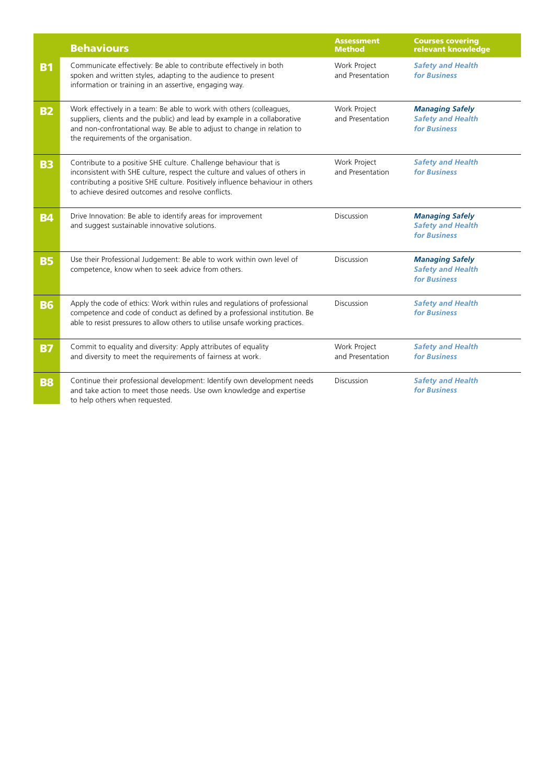|           | <b>Behaviours</b>                                                                                                                                                                                                                                                                      | <b>Assessment</b><br><b>Method</b> | <b>Courses covering</b><br>relevant knowledge                             |
|-----------|----------------------------------------------------------------------------------------------------------------------------------------------------------------------------------------------------------------------------------------------------------------------------------------|------------------------------------|---------------------------------------------------------------------------|
| <b>B1</b> | Communicate effectively: Be able to contribute effectively in both<br>spoken and written styles, adapting to the audience to present<br>information or training in an assertive, engaging way.                                                                                         | Work Project<br>and Presentation   | <b>Safety and Health</b><br>for Business                                  |
| <b>B2</b> | Work effectively in a team: Be able to work with others (colleagues,<br>suppliers, clients and the public) and lead by example in a collaborative<br>and non-confrontational way. Be able to adjust to change in relation to<br>the requirements of the organisation.                  | Work Project<br>and Presentation   | <b>Managing Safely</b><br><b>Safety and Health</b><br>for Business        |
| <b>B3</b> | Contribute to a positive SHE culture. Challenge behaviour that is<br>inconsistent with SHE culture, respect the culture and values of others in<br>contributing a positive SHE culture. Positively influence behaviour in others<br>to achieve desired outcomes and resolve conflicts. | Work Project<br>and Presentation   | <b>Safety and Health</b><br>for Business                                  |
| <b>B4</b> | Drive Innovation: Be able to identify areas for improvement<br>and suggest sustainable innovative solutions.                                                                                                                                                                           | Discussion                         | <b>Managing Safely</b><br><b>Safety and Health</b><br>for Business        |
| <b>B5</b> | Use their Professional Judgement: Be able to work within own level of<br>competence, know when to seek advice from others.                                                                                                                                                             | Discussion                         | <b>Managing Safely</b><br><b>Safety and Health</b><br><b>for Business</b> |
| <b>B6</b> | Apply the code of ethics: Work within rules and regulations of professional<br>competence and code of conduct as defined by a professional institution. Be<br>able to resist pressures to allow others to utilise unsafe working practices.                                            | Discussion                         | <b>Safety and Health</b><br><b>for Business</b>                           |
| <b>B7</b> | Commit to equality and diversity: Apply attributes of equality<br>and diversity to meet the requirements of fairness at work.                                                                                                                                                          | Work Project<br>and Presentation   | <b>Safety and Health</b><br><b>for Business</b>                           |
| <b>B8</b> | Continue their professional development: Identify own development needs<br>and take action to meet those needs. Use own knowledge and expertise<br>to help others when requested.                                                                                                      | Discussion                         | <b>Safety and Health</b><br>for Business                                  |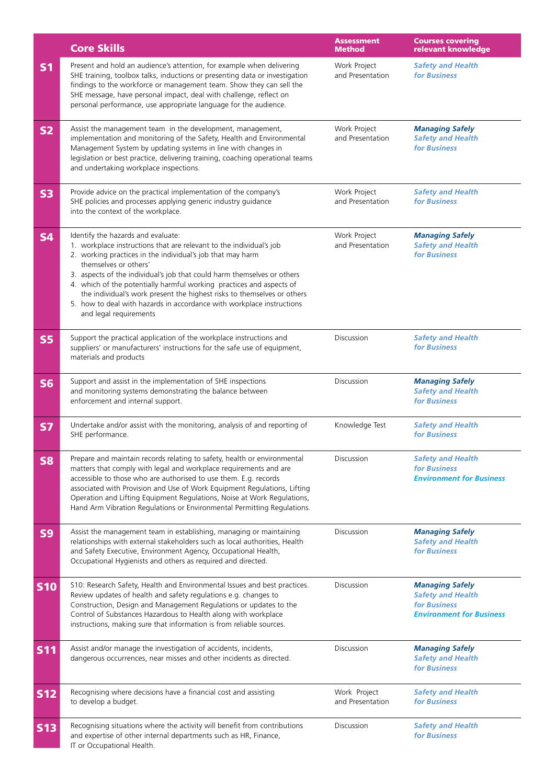|                | <b>Core Skills</b>                                                                                                                                                                                                                                                                                                                                                                                                                                                                                                                | <b>Assessment</b><br><b>Method</b> | <b>Courses covering</b><br>relevant knowledge                                                         |
|----------------|-----------------------------------------------------------------------------------------------------------------------------------------------------------------------------------------------------------------------------------------------------------------------------------------------------------------------------------------------------------------------------------------------------------------------------------------------------------------------------------------------------------------------------------|------------------------------------|-------------------------------------------------------------------------------------------------------|
| <b>S1</b>      | Present and hold an audience's attention, for example when delivering<br>SHE training, toolbox talks, inductions or presenting data or investigation<br>findings to the workforce or management team. Show they can sell the<br>SHE message, have personal impact, deal with challenge, reflect on<br>personal performance, use appropriate language for the audience.                                                                                                                                                            | Work Project<br>and Presentation   | <b>Safety and Health</b><br>for Business                                                              |
| <b>S2</b>      | Assist the management team in the development, management,<br>implementation and monitoring of the Safety, Health and Environmental<br>Management System by updating systems in line with changes in<br>legislation or best practice, delivering training, coaching operational teams<br>and undertaking workplace inspections.                                                                                                                                                                                                   | Work Project<br>and Presentation   | <b>Managing Safely</b><br><b>Safety and Health</b><br>for Business                                    |
| <b>S3</b>      | Provide advice on the practical implementation of the company's<br>SHE policies and processes applying generic industry guidance<br>into the context of the workplace.                                                                                                                                                                                                                                                                                                                                                            | Work Project<br>and Presentation   | <b>Safety and Health</b><br>for Business                                                              |
| <b>S4</b>      | Identify the hazards and evaluate:<br>1. workplace instructions that are relevant to the individual's job<br>2. working practices in the individual's job that may harm<br>themselves or others'<br>3. aspects of the individual's job that could harm themselves or others<br>4. which of the potentially harmful working practices and aspects of<br>the individual's work present the highest risks to themselves or others<br>5. how to deal with hazards in accordance with workplace instructions<br>and legal requirements | Work Project<br>and Presentation   | <b>Managing Safely</b><br><b>Safety and Health</b><br>for Business                                    |
| <b>S5</b>      | Support the practical application of the workplace instructions and<br>suppliers' or manufacturers' instructions for the safe use of equipment,<br>materials and products                                                                                                                                                                                                                                                                                                                                                         | Discussion                         | <b>Safety and Health</b><br>for Business                                                              |
| <b>S6</b>      | Support and assist in the implementation of SHE inspections<br>and monitoring systems demonstrating the balance between<br>enforcement and internal support.                                                                                                                                                                                                                                                                                                                                                                      | Discussion                         | <b>Managing Safely</b><br><b>Safety and Health</b><br>for Business                                    |
| <b>S7</b>      | Undertake and/or assist with the monitoring, analysis of and reporting of<br>SHE performance.                                                                                                                                                                                                                                                                                                                                                                                                                                     | Knowledge Test                     | <b>Safety and Health</b><br>for Business                                                              |
| <b>S8</b>      | Prepare and maintain records relating to safety, health or environmental<br>matters that comply with legal and workplace requirements and are<br>accessible to those who are authorised to use them. E.g. records<br>associated with Provision and Use of Work Equipment Regulations, Lifting<br>Operation and Lifting Equipment Regulations, Noise at Work Regulations,<br>Hand Arm Vibration Regulations or Environmental Permitting Regulations.                                                                               | Discussion                         | <b>Safety and Health</b><br>for Business<br><b>Environment for Business</b>                           |
| S <sub>9</sub> | Assist the management team in establishing, managing or maintaining<br>relationships with external stakeholders such as local authorities, Health<br>and Safety Executive, Environment Agency, Occupational Health,<br>Occupational Hygienists and others as required and directed.                                                                                                                                                                                                                                               | Discussion                         | <b>Managing Safely</b><br><b>Safety and Health</b><br>for Business                                    |
| <b>S10</b>     | S10: Research Safety, Health and Environmental Issues and best practices.<br>Review updates of health and safety regulations e.g. changes to<br>Construction, Design and Management Regulations or updates to the<br>Control of Substances Hazardous to Health along with workplace<br>instructions, making sure that information is from reliable sources.                                                                                                                                                                       | Discussion                         | <b>Managing Safely</b><br><b>Safety and Health</b><br>for Business<br><b>Environment for Business</b> |
| <b>S11</b>     | Assist and/or manage the investigation of accidents, incidents,<br>dangerous occurrences, near misses and other incidents as directed.                                                                                                                                                                                                                                                                                                                                                                                            | Discussion                         | <b>Managing Safely</b><br><b>Safety and Health</b><br>for Business                                    |
| <b>S12</b>     | Recognising where decisions have a financial cost and assisting<br>to develop a budget.                                                                                                                                                                                                                                                                                                                                                                                                                                           | Work Project<br>and Presentation   | <b>Safety and Health</b><br>for Business                                                              |
| <b>S13</b>     | Recognising situations where the activity will benefit from contributions<br>and expertise of other internal departments such as HR, Finance,<br>IT or Occupational Health.                                                                                                                                                                                                                                                                                                                                                       | Discussion                         | <b>Safety and Health</b><br>for Business                                                              |